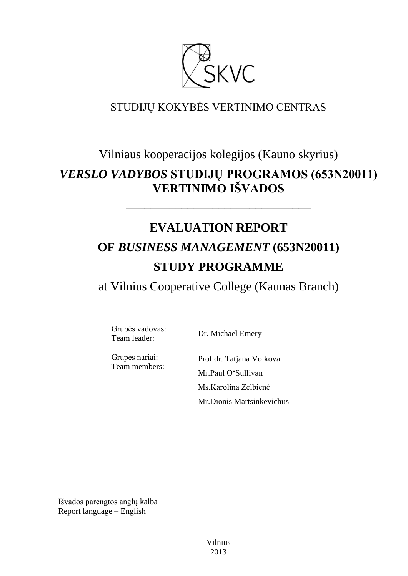

# STUDIJŲ KOKYBĖS VERTINIMO CENTRAS

# Vilniaus kooperacijos kolegijos (Kauno skyrius)

# *VERSLO VADYBOS* **STUDIJŲ PROGRAMOS (653N20011) VERTINIMO IŠVADOS**

# **EVALUATION REPORT**

––––––––––––––––––––––––––––––

# **OF** *BUSINESS MANAGEMENT* **(653N20011) STUDY PROGRAMME**

at Vilnius Cooperative College (Kaunas Branch)

Grupės vadovas: Team leader: Dr. Michael Emery

Grupės nariai: Team members:

Prof.dr. Tatjana Volkova Mr.Paul O"Sullivan Ms.Karolina Zelbienė Mr.Dionis Martsinkevichus

Išvados parengtos anglų kalba Report language – English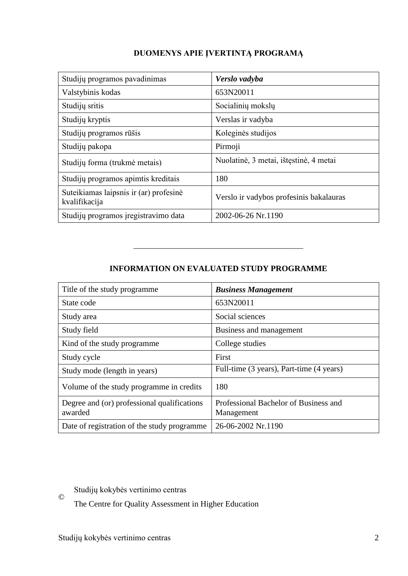# **DUOMENYS APIE ĮVERTINTĄ PROGRAMĄ**

| Studijų programos pavadinimas                           | Verslo vadyba                           |
|---------------------------------------------------------|-----------------------------------------|
| Valstybinis kodas                                       | 653N20011                               |
| Studijų sritis                                          | Socialinių mokslų                       |
| Studijų kryptis                                         | Verslas ir vadyba                       |
| Studijų programos rūšis                                 | Koleginės studijos                      |
| Studijų pakopa                                          | Pirmoji                                 |
| Studijų forma (trukmė metais)                           | Nuolatinė, 3 metai, ištęstinė, 4 metai  |
| Studijų programos apimtis kreditais                     | 180                                     |
| Suteikiamas laipsnis ir (ar) profesinė<br>kvalifikacija | Verslo ir vadybos profesinis bakalauras |
| Studijų programos įregistravimo data                    | 2002-06-26 Nr.1190                      |

# **INFORMATION ON EVALUATED STUDY PROGRAMME**

–––––––––––––––––––––––––––––––

| Title of the study programme.                          | <b>Business Management</b>                          |
|--------------------------------------------------------|-----------------------------------------------------|
| State code                                             | 653N20011                                           |
| Study area                                             | Social sciences                                     |
| Study field                                            | Business and management                             |
| Kind of the study programme                            | College studies                                     |
| Study cycle                                            | First                                               |
| Study mode (length in years)                           | Full-time (3 years), Part-time (4 years)            |
| Volume of the study programme in credits               | 180                                                 |
| Degree and (or) professional qualifications<br>awarded | Professional Bachelor of Business and<br>Management |
| Date of registration of the study programme            | 26-06-2002 Nr.1190                                  |

Studijų kokybės vertinimo centras

The Centre for Quality Assessment in Higher Education

©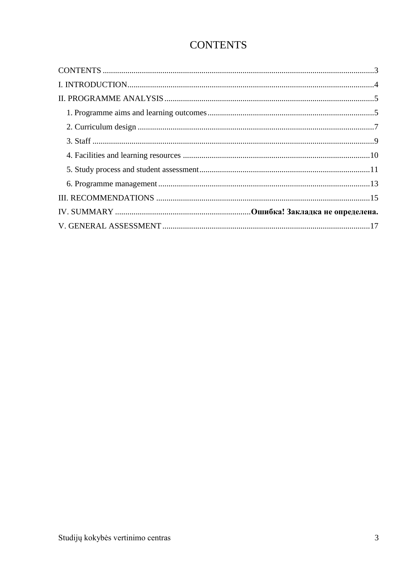# **CONTENTS**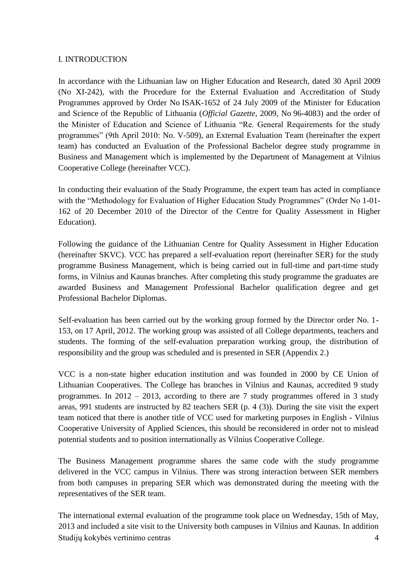#### I. INTRODUCTION

In accordance with the Lithuanian law on Higher Education and Research, dated 30 April 2009 (No XI-242), with the Procedure for the External Evaluation and Accreditation of Study Programmes approved by Order No ISAK-1652 of 24 July 2009 of the Minister for Education and Science of the Republic of Lithuania (*Official Gazette*, 2009, No 96-4083) and the order of the Minister of Education and Science of Lithuania "Re. General Requirements for the study programmes" (9th April 2010: No. V-509), an External Evaluation Team (hereinafter the expert team) has conducted an Evaluation of the Professional Bachelor degree study programme in Business and Management which is implemented by the Department of Management at Vilnius Cooperative College (hereinafter VCC).

In conducting their evaluation of the Study Programme, the expert team has acted in compliance with the "Methodology for Evaluation of Higher Education Study Programmes" (Order No 1-01-162 of 20 December 2010 of the Director of the Centre for Quality Assessment in Higher Education).

Following the guidance of the Lithuanian Centre for Quality Assessment in Higher Education (hereinafter SKVC). VCC has prepared a self-evaluation report (hereinafter SER) for the study programme Business Management, which is being carried out in full-time and part-time study forms, in Vilnius and Kaunas branches. After completing this study programme the graduates are awarded Business and Management Professional Bachelor qualification degree and get Professional Bachelor Diplomas.

Self-evaluation has been carried out by the working group formed by the Director order No. 1- 153, on 17 April, 2012. The working group was assisted of all College departments, teachers and students. The forming of the self-evaluation preparation working group, the distribution of responsibility and the group was scheduled and is presented in SER (Appendix 2.)

VCC is a non-state higher education institution and was founded in 2000 by CE Union of Lithuanian Cooperatives. The College has branches in Vilnius and Kaunas, accredited 9 study programmes. In 2012 – 2013, according to there are 7 study programmes offered in 3 study areas, 991 students are instructed by 82 teachers SER (p. 4 (3)). During the site visit the expert team noticed that there is another title of VCC used for marketing purposes in English - Vilnius Cooperative University of Applied Sciences, this should be reconsidered in order not to mislead potential students and to position internationally as Vilnius Cooperative College.

The Business Management programme shares the same code with the study programme delivered in the VCC campus in Vilnius. There was strong interaction between SER members from both campuses in preparing SER which was demonstrated during the meeting with the representatives of the SER team.

Studijų kokybės vertinimo centras 4 The international external evaluation of the programme took place on Wednesday, 15th of May, 2013 and included a site visit to the University both campuses in Vilnius and Kaunas. In addition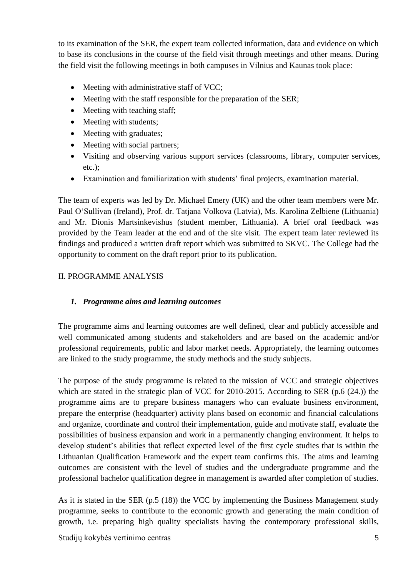to its examination of the SER, the expert team collected information, data and evidence on which to base its conclusions in the course of the field visit through meetings and other means. During the field visit the following meetings in both campuses in Vilnius and Kaunas took place:

- Meeting with administrative staff of VCC;
- Meeting with the staff responsible for the preparation of the SER;
- Meeting with teaching staff;
- Meeting with students;
- Meeting with graduates;
- Meeting with social partners;
- Visiting and observing various support services (classrooms, library, computer services, etc.);
- Examination and familiarization with students" final projects, examination material.

The team of experts was led by Dr. Michael Emery (UK) and the other team members were Mr. Paul O"Sullivan (Ireland), Prof. dr. Tatjana Volkova (Latvia), Ms. Karolina Zelbiene (Lithuania) and Mr. Dionis Martsinkevishus (student member, Lithuania). A brief oral feedback was provided by the Team leader at the end and of the site visit. The expert team later reviewed its findings and produced a written draft report which was submitted to SKVC. The College had the opportunity to comment on the draft report prior to its publication.

## II. PROGRAMME ANALYSIS

## *1. Programme aims and learning outcomes*

The programme aims and learning outcomes are well defined, clear and publicly accessible and well communicated among students and stakeholders and are based on the academic and/or professional requirements, public and labor market needs. Appropriately, the learning outcomes are linked to the study programme, the study methods and the study subjects.

The purpose of the study programme is related to the mission of VCC and strategic objectives which are stated in the strategic plan of VCC for 2010-2015. According to SER (p.6 (24.)) the programme aims are to prepare business managers who can evaluate business environment, prepare the enterprise (headquarter) activity plans based on economic and financial calculations and organize, coordinate and control their implementation, guide and motivate staff, evaluate the possibilities of business expansion and work in a permanently changing environment. It helps to develop student's abilities that reflect expected level of the first cycle studies that is within the Lithuanian Qualification Framework and the expert team confirms this. The aims and learning outcomes are consistent with the level of studies and the undergraduate programme and the professional bachelor qualification degree in management is awarded after completion of studies.

As it is stated in the SER (p.5 (18)) the VCC by implementing the Business Management study programme, seeks to contribute to the economic growth and generating the main condition of growth, i.e. preparing high quality specialists having the contemporary professional skills,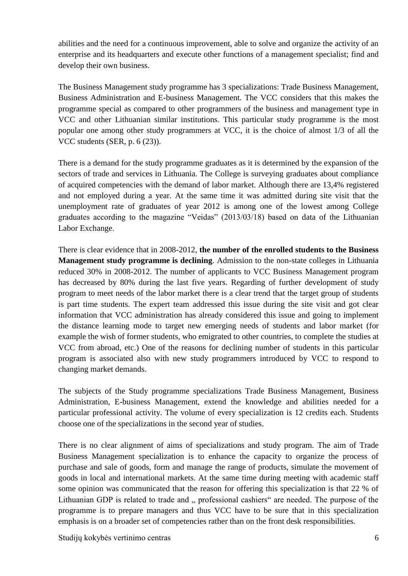abilities and the need for a continuous improvement, able to solve and organize the activity of an enterprise and its headquarters and execute other functions of a management specialist; find and develop their own business.

The Business Management study programme has 3 specializations: Trade Business Management, Business Administration and E-business Management. The VCC considers that this makes the programme special as compared to other programmers of the business and management type in VCC and other Lithuanian similar institutions. This particular study programme is the most popular one among other study programmers at VCC, it is the choice of almost 1/3 of all the VCC students (SER, p. 6 (23)).

There is a demand for the study programme graduates as it is determined by the expansion of the sectors of trade and services in Lithuania. The College is surveying graduates about compliance of acquired competencies with the demand of labor market. Although there are 13,4% registered and not employed during a year. At the same time it was admitted during site visit that the unemployment rate of graduates of year 2012 is among one of the lowest among College graduates according to the magazine "Veidas" (2013/03/18) based on data of the Lithuanian Labor Exchange.

There is clear evidence that in 2008-2012, **the number of the enrolled students to the Business Management study programme is declining**. Admission to the non-state colleges in Lithuania reduced 30% in 2008-2012. The number of applicants to VCC Business Management program has decreased by 80% during the last five years. Regarding of further development of study program to meet needs of the labor market there is a clear trend that the target group of students is part time students. The expert team addressed this issue during the site visit and got clear information that VCC administration has already considered this issue and going to implement the distance learning mode to target new emerging needs of students and labor market (for example the wish of former students, who emigrated to other countries, to complete the studies at VCC from abroad, etc.) One of the reasons for declining number of students in this particular program is associated also with new study programmers introduced by VCC to respond to changing market demands.

The subjects of the Study programme specializations Trade Business Management, Business Administration, E-business Management, extend the knowledge and abilities needed for a particular professional activity. The volume of every specialization is 12 credits each. Students choose one of the specializations in the second year of studies.

There is no clear alignment of aims of specializations and study program. The aim of Trade Business Management specialization is to enhance the capacity to organize the process of purchase and sale of goods, form and manage the range of products, simulate the movement of goods in local and international markets. At the same time during meeting with academic staff some opinion was communicated that the reason for offering this specialization is that 22 % of Lithuanian GDP is related to trade and " professional cashiers" are needed. The purpose of the programme is to prepare managers and thus VCC have to be sure that in this specialization emphasis is on a broader set of competencies rather than on the front desk responsibilities.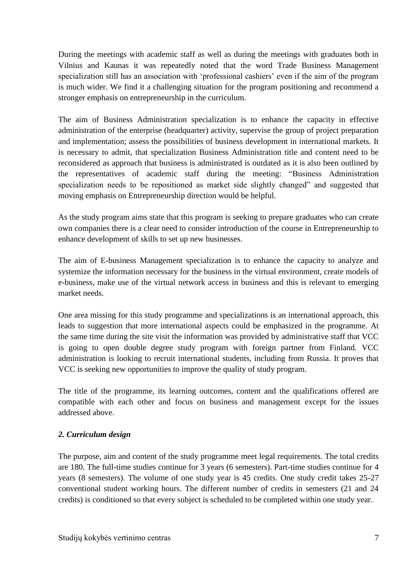During the meetings with academic staff as well as during the meetings with graduates both in Vilnius and Kaunas it was repeatedly noted that the word Trade Business Management specialization still has an association with 'professional cashiers' even if the aim of the program is much wider. We find it a challenging situation for the program positioning and recommend a stronger emphasis on entrepreneurship in the curriculum.

The aim of Business Administration specialization is to enhance the capacity in effective administration of the enterprise (headquarter) activity, supervise the group of project preparation and implementation; assess the possibilities of business development in international markets. It is necessary to admit, that specialization Business Administration title and content need to be reconsidered as approach that business is administrated is outdated as it is also been outlined by the representatives of academic staff during the meeting: "Business Administration specialization needs to be repositioned as market side slightly changed" and suggested that moving emphasis on Entrepreneurship direction would be helpful.

As the study program aims state that this program is seeking to prepare graduates who can create own companies there is a clear need to consider introduction of the course in Entrepreneurship to enhance development of skills to set up new businesses.

The aim of E-business Management specialization is to enhance the capacity to analyze and systemize the information necessary for the business in the virtual environment, create models of e-business, make use of the virtual network access in business and this is relevant to emerging market needs.

One area missing for this study programme and specializations is an international approach, this leads to suggestion that more international aspects could be emphasized in the programme. At the same time during the site visit the information was provided by administrative staff that VCC is going to open double degree study program with foreign partner from Finland. VCC administration is looking to recruit international students, including from Russia. It proves that VCC is seeking new opportunities to improve the quality of study program.

The title of the programme, its learning outcomes, content and the qualifications offered are compatible with each other and focus on business and management except for the issues addressed above.

## *2. Curriculum design*

The purpose, aim and content of the study programme meet legal requirements. The total credits are 180. The full-time studies continue for 3 years (6 semesters). Part-time studies continue for 4 years (8 semesters). The volume of one study year is 45 credits. One study credit takes 25-27 conventional student working hours. The different number of credits in semesters (21 and 24 credits) is conditioned so that every subject is scheduled to be completed within one study year.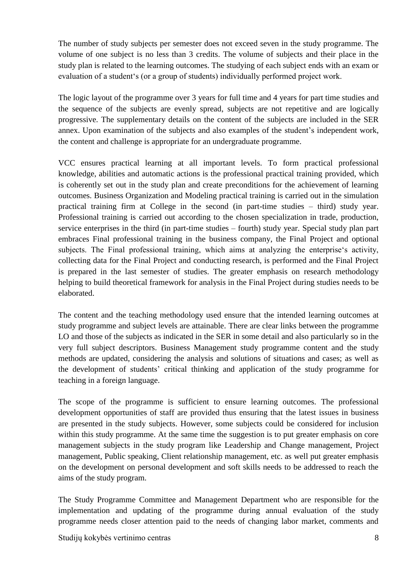The number of study subjects per semester does not exceed seven in the study programme. The volume of one subject is no less than 3 credits. The volume of subjects and their place in the study plan is related to the learning outcomes. The studying of each subject ends with an exam or evaluation of a student's (or a group of students) individually performed project work.

The logic layout of the programme over 3 years for full time and 4 years for part time studies and the sequence of the subjects are evenly spread, subjects are not repetitive and are logically progressive. The supplementary details on the content of the subjects are included in the SER annex. Upon examination of the subjects and also examples of the student"s independent work, the content and challenge is appropriate for an undergraduate programme.

VCC ensures practical learning at all important levels. To form practical professional knowledge, abilities and automatic actions is the professional practical training provided, which is coherently set out in the study plan and create preconditions for the achievement of learning outcomes. Business Organization and Modeling practical training is carried out in the simulation practical training firm at College in the second (in part-time studies – third) study year. Professional training is carried out according to the chosen specialization in trade, production, service enterprises in the third (in part-time studies – fourth) study year. Special study plan part embraces Final professional training in the business company, the Final Project and optional subjects. The Final professional training, which aims at analyzing the enterprise's activity, collecting data for the Final Project and conducting research, is performed and the Final Project is prepared in the last semester of studies. The greater emphasis on research methodology helping to build theoretical framework for analysis in the Final Project during studies needs to be elaborated.

The content and the teaching methodology used ensure that the intended learning outcomes at study programme and subject levels are attainable. There are clear links between the programme LO and those of the subjects as indicated in the SER in some detail and also particularly so in the very full subject descriptors. Business Management study programme content and the study methods are updated, considering the analysis and solutions of situations and cases; as well as the development of students" critical thinking and application of the study programme for teaching in a foreign language.

The scope of the programme is sufficient to ensure learning outcomes. The professional development opportunities of staff are provided thus ensuring that the latest issues in business are presented in the study subjects. However, some subjects could be considered for inclusion within this study programme. At the same time the suggestion is to put greater emphasis on core management subjects in the study program like Leadership and Change management, Project management, Public speaking, Client relationship management, etc. as well put greater emphasis on the development on personal development and soft skills needs to be addressed to reach the aims of the study program.

The Study Programme Committee and Management Department who are responsible for the implementation and updating of the programme during annual evaluation of the study programme needs closer attention paid to the needs of changing labor market, comments and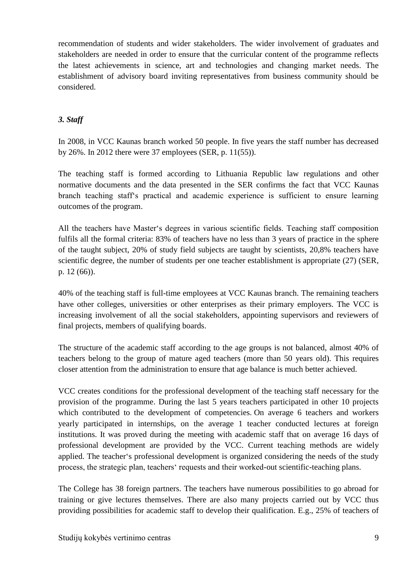recommendation of students and wider stakeholders. The wider involvement of graduates and stakeholders are needed in order to ensure that the curricular content of the programme reflects the latest achievements in science, art and technologies and changing market needs. The establishment of advisory board inviting representatives from business community should be considered.

# *3. Staff*

In 2008, in VCC Kaunas branch worked 50 people. In five years the staff number has decreased by 26%. In 2012 there were 37 employees (SER, p. 11(55)).

The teaching staff is formed according to Lithuania Republic law regulations and other normative documents and the data presented in the SER confirms the fact that VCC Kaunas branch teaching staff"s practical and academic experience is sufficient to ensure learning outcomes of the program.

All the teachers have Master's degrees in various scientific fields. Teaching staff composition fulfils all the formal criteria: 83% of teachers have no less than 3 years of practice in the sphere of the taught subject, 20% of study field subjects are taught by scientists, 20,8% teachers have scientific degree, the number of students per one teacher establishment is appropriate (27) (SER, p. 12 (66)).

40% of the teaching staff is full-time employees at VCC Kaunas branch. The remaining teachers have other colleges, universities or other enterprises as their primary employers. The VCC is increasing involvement of all the social stakeholders, appointing supervisors and reviewers of final projects, members of qualifying boards.

The structure of the academic staff according to the age groups is not balanced, almost 40% of teachers belong to the group of mature aged teachers (more than 50 years old). This requires closer attention from the administration to ensure that age balance is much better achieved.

VCC creates conditions for the professional development of the teaching staff necessary for the provision of the programme. During the last 5 years teachers participated in other 10 projects which contributed to the development of competencies. On average 6 teachers and workers yearly participated in internships, on the average 1 teacher conducted lectures at foreign institutions. It was proved during the meeting with academic staff that on average 16 days of professional development are provided by the VCC. Current teaching methods are widely applied. The teacher"s professional development is organized considering the needs of the study process, the strategic plan, teachers" requests and their worked-out scientific-teaching plans.

The College has 38 foreign partners. The teachers have numerous possibilities to go abroad for training or give lectures themselves. There are also many projects carried out by VCC thus providing possibilities for academic staff to develop their qualification. E.g., 25% of teachers of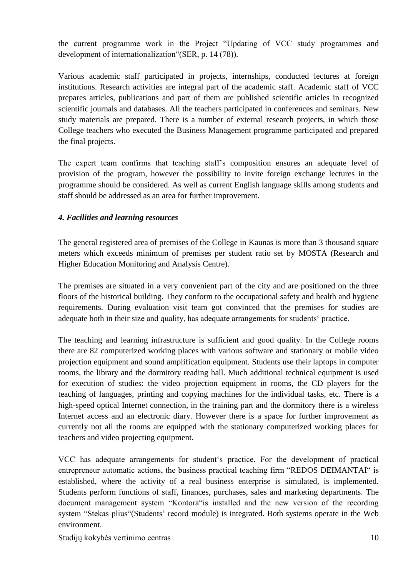the current programme work in the Project "Updating of VCC study programmes and development of internationalization"(SER, p. 14 (78)).

Various academic staff participated in projects, internships, conducted lectures at foreign institutions. Research activities are integral part of the academic staff. Academic staff of VCC prepares articles, publications and part of them are published scientific articles in recognized scientific journals and databases. All the teachers participated in conferences and seminars. New study materials are prepared. There is a number of external research projects, in which those College teachers who executed the Business Management programme participated and prepared the final projects.

The expert team confirms that teaching staff"s composition ensures an adequate level of provision of the program, however the possibility to invite foreign exchange lectures in the programme should be considered. As well as current English language skills among students and staff should be addressed as an area for further improvement.

## *4. Facilities and learning resources*

The general registered area of premises of the College in Kaunas is more than 3 thousand square meters which exceeds minimum of premises per student ratio set by MOSTA (Research and Higher Education Monitoring and Analysis Centre).

The premises are situated in a very convenient part of the city and are positioned on the three floors of the historical building. They conform to the occupational safety and health and hygiene requirements. During evaluation visit team got convinced that the premises for studies are adequate both in their size and quality, has adequate arrangements for students' practice.

The teaching and learning infrastructure is sufficient and good quality. In the College rooms there are 82 computerized working places with various software and stationary or mobile video projection equipment and sound amplification equipment. Students use their laptops in computer rooms, the library and the dormitory reading hall. Much additional technical equipment is used for execution of studies: the video projection equipment in rooms, the CD players for the teaching of languages, printing and copying machines for the individual tasks, etc. There is a high-speed optical Internet connection, in the training part and the dormitory there is a wireless Internet access and an electronic diary. However there is a space for further improvement as currently not all the rooms are equipped with the stationary computerized working places for teachers and video projecting equipment.

VCC has adequate arrangements for student"s practice. For the development of practical entrepreneur automatic actions, the business practical teaching firm "REDOS DEIMANTAI" is established, where the activity of a real business enterprise is simulated, is implemented. Students perform functions of staff, finances, purchases, sales and marketing departments. The document management system "Kontora"is installed and the new version of the recording system "Stekas plius" (Students' record module) is integrated. Both systems operate in the Web environment.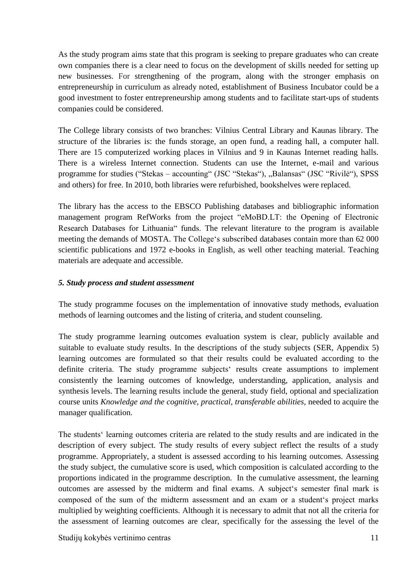As the study program aims state that this program is seeking to prepare graduates who can create own companies there is a clear need to focus on the development of skills needed for setting up new businesses. For strengthening of the program, along with the stronger emphasis on entrepreneurship in curriculum as already noted, establishment of Business Incubator could be a good investment to foster entrepreneurship among students and to facilitate start-ups of students companies could be considered.

The College library consists of two branches: Vilnius Central Library and Kaunas library. The structure of the libraries is: the funds storage, an open fund, a reading hall, a computer hall. There are 15 computerized working places in Vilnius and 9 in Kaunas Internet reading halls. There is a wireless Internet connection. Students can use the Internet, e-mail and various programme for studies ("Stekas – accounting" (JSC "Stekas"), "Balansas" (JSC "Rivilė"), SPSS and others) for free. In 2010, both libraries were refurbished, bookshelves were replaced.

The library has the access to the EBSCO Publishing databases and bibliographic information management program RefWorks from the project "eMoBD.LT: the Opening of Electronic Research Databases for Lithuania" funds. The relevant literature to the program is available meeting the demands of MOSTA. The College's subscribed databases contain more than 62 000 scientific publications and 1972 e-books in English, as well other teaching material. Teaching materials are adequate and accessible.

## *5. Study process and student assessment*

The study programme focuses on the implementation of innovative study methods, evaluation methods of learning outcomes and the listing of criteria, and student counseling.

The study programme learning outcomes evaluation system is clear, publicly available and suitable to evaluate study results. In the descriptions of the study subjects (SER, Appendix 5) learning outcomes are formulated so that their results could be evaluated according to the definite criteria. The study programme subjects' results create assumptions to implement consistently the learning outcomes of knowledge, understanding, application, analysis and synthesis levels. The learning results include the general, study field, optional and specialization course units *Knowledge and the cognitive, practical, transferable abilities,* needed to acquire the manager qualification.

The students" learning outcomes criteria are related to the study results and are indicated in the description of every subject. The study results of every subject reflect the results of a study programme. Appropriately, a student is assessed according to his learning outcomes. Assessing the study subject, the cumulative score is used, which composition is calculated according to the proportions indicated in the programme description. In the cumulative assessment, the learning outcomes are assessed by the midterm and final exams. A subject"s semester final mark is composed of the sum of the midterm assessment and an exam or a student"s project marks multiplied by weighting coefficients. Although it is necessary to admit that not all the criteria for the assessment of learning outcomes are clear, specifically for the assessing the level of the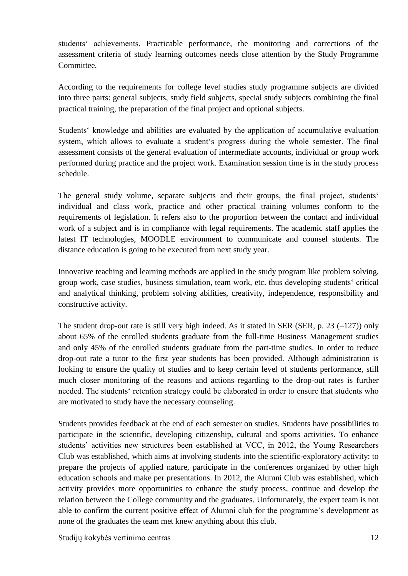students" achievements. Practicable performance, the monitoring and corrections of the assessment criteria of study learning outcomes needs close attention by the Study Programme Committee.

According to the requirements for college level studies study programme subjects are divided into three parts: general subjects, study field subjects, special study subjects combining the final practical training, the preparation of the final project and optional subjects.

Students' knowledge and abilities are evaluated by the application of accumulative evaluation system, which allows to evaluate a student's progress during the whole semester. The final assessment consists of the general evaluation of intermediate accounts, individual or group work performed during practice and the project work. Examination session time is in the study process schedule.

The general study volume, separate subjects and their groups, the final project, students' individual and class work, practice and other practical training volumes conform to the requirements of legislation. It refers also to the proportion between the contact and individual work of a subject and is in compliance with legal requirements. The academic staff applies the latest IT technologies, MOODLE environment to communicate and counsel students. The distance education is going to be executed from next study year.

Innovative teaching and learning methods are applied in the study program like problem solving, group work, case studies, business simulation, team work, etc. thus developing students" critical and analytical thinking, problem solving abilities, creativity, independence, responsibility and constructive activity.

The student drop-out rate is still very high indeed. As it stated in SER (SER, p. 23  $(-127)$ ) only about 65% of the enrolled students graduate from the full-time Business Management studies and only 45% of the enrolled students graduate from the part-time studies. In order to reduce drop-out rate a tutor to the first year students has been provided. Although administration is looking to ensure the quality of studies and to keep certain level of students performance, still much closer monitoring of the reasons and actions regarding to the drop-out rates is further needed. The students" retention strategy could be elaborated in order to ensure that students who are motivated to study have the necessary counseling.

Students provides feedback at the end of each semester on studies. Students have possibilities to participate in the scientific, developing citizenship, cultural and sports activities. To enhance students' activities new structures been established at VCC, in 2012, the Young Researchers Club was established, which aims at involving students into the scientific-exploratory activity: to prepare the projects of applied nature, participate in the conferences organized by other high education schools and make per presentations. In 2012, the Alumni Club was established, which activity provides more opportunities to enhance the study process, continue and develop the relation between the College community and the graduates. Unfortunately, the expert team is not able to confirm the current positive effect of Alumni club for the programme's development as none of the graduates the team met knew anything about this club.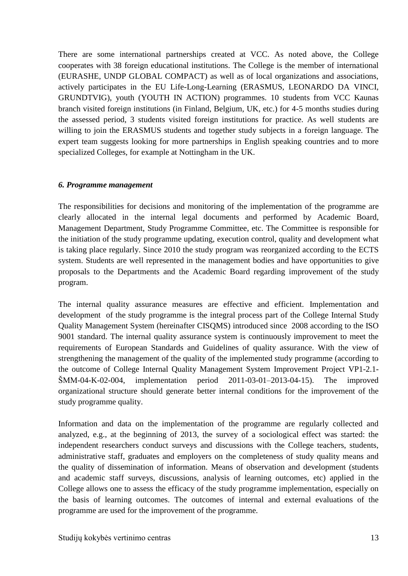There are some international partnerships created at VCC. As noted above, the College cooperates with 38 foreign educational institutions. The College is the member of international (EURASHE, UNDP GLOBAL COMPACT) as well as of local organizations and associations, actively participates in the EU Life-Long-Learning (ERASMUS, LEONARDO DA VINCI, GRUNDTVIG), youth (YOUTH IN ACTION) programmes. 10 students from VCC Kaunas branch visited foreign institutions (in Finland, Belgium, UK, etc.) for 4-5 months studies during the assessed period, 3 students visited foreign institutions for practice. As well students are willing to join the ERASMUS students and together study subjects in a foreign language. The expert team suggests looking for more partnerships in English speaking countries and to more specialized Colleges, for example at Nottingham in the UK.

#### *6. Programme management*

The responsibilities for decisions and monitoring of the implementation of the programme are clearly allocated in the internal legal documents and performed by Academic Board, Management Department, Study Programme Committee, etc. The Committee is responsible for the initiation of the study programme updating, execution control, quality and development what is taking place regularly. Since 2010 the study program was reorganized according to the ECTS system. Students are well represented in the management bodies and have opportunities to give proposals to the Departments and the Academic Board regarding improvement of the study program.

The internal quality assurance measures are effective and efficient. Implementation and development of the study programme is the integral process part of the College Internal Study Quality Management System (hereinafter CISQMS) introduced since 2008 according to the ISO 9001 standard. The internal quality assurance system is continuously improvement to meet the requirements of European Standards and Guidelines of quality assurance. With the view of strengthening the management of the quality of the implemented study programme (according to the outcome of College Internal Quality Management System Improvement Project VP1-2.1- ŠMM-04-K-02-004, implementation period 2011-03-01–2013-04-15). The improved organizational structure should generate better internal conditions for the improvement of the study programme quality.

Information and data on the implementation of the programme are regularly collected and analyzed, e.g., at the beginning of 2013, the survey of a sociological effect was started: the independent researchers conduct surveys and discussions with the College teachers, students, administrative staff, graduates and employers on the completeness of study quality means and the quality of dissemination of information. Means of observation and development (students and academic staff surveys, discussions, analysis of learning outcomes, etc) applied in the College allows one to assess the efficacy of the study programme implementation, especially on the basis of learning outcomes. The outcomes of internal and external evaluations of the programme are used for the improvement of the programme.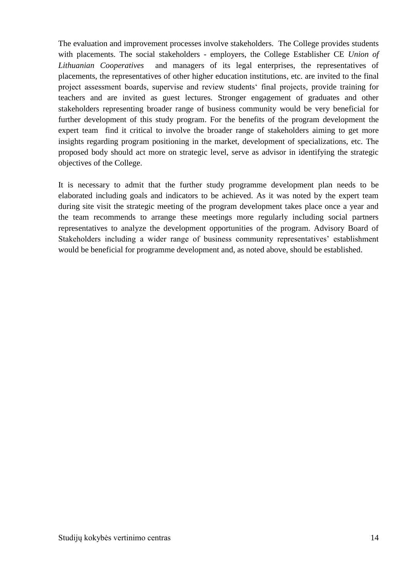The evaluation and improvement processes involve stakeholders. The College provides students with placements. The social stakeholders - employers, the College Establisher CE *Union of Lithuanian Cooperatives* and managers of its legal enterprises, the representatives of placements, the representatives of other higher education institutions, etc. are invited to the final project assessment boards, supervise and review students" final projects, provide training for teachers and are invited as guest lectures. Stronger engagement of graduates and other stakeholders representing broader range of business community would be very beneficial for further development of this study program. For the benefits of the program development the expert team find it critical to involve the broader range of stakeholders aiming to get more insights regarding program positioning in the market, development of specializations, etc. The proposed body should act more on strategic level, serve as advisor in identifying the strategic objectives of the College.

It is necessary to admit that the further study programme development plan needs to be elaborated including goals and indicators to be achieved. As it was noted by the expert team during site visit the strategic meeting of the program development takes place once a year and the team recommends to arrange these meetings more regularly including social partners representatives to analyze the development opportunities of the program. Advisory Board of Stakeholders including a wider range of business community representatives' establishment would be beneficial for programme development and, as noted above, should be established.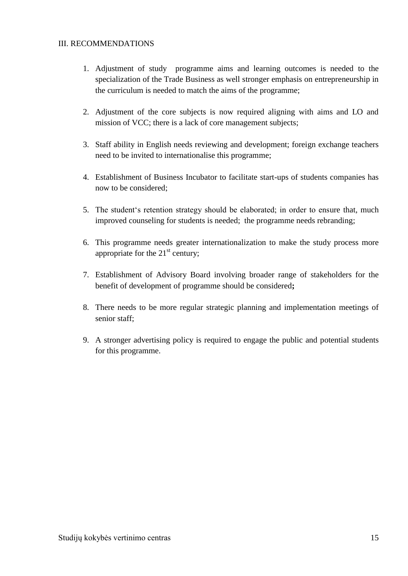#### III. RECOMMENDATIONS

- 1. Adjustment of study programme aims and learning outcomes is needed to the specialization of the Trade Business as well stronger emphasis on entrepreneurship in the curriculum is needed to match the aims of the programme;
- 2. Adjustment of the core subjects is now required aligning with aims and LO and mission of VCC; there is a lack of core management subjects;
- 3. Staff ability in English needs reviewing and development; foreign exchange teachers need to be invited to internationalise this programme;
- 4. Establishment of Business Incubator to facilitate start-ups of students companies has now to be considered;
- 5. The student"s retention strategy should be elaborated; in order to ensure that, much improved counseling for students is needed; the programme needs rebranding;
- 6. This programme needs greater internationalization to make the study process more appropriate for the  $21<sup>st</sup>$  century;
- 7. Establishment of Advisory Board involving broader range of stakeholders for the benefit of development of programme should be considered**;**
- 8. There needs to be more regular strategic planning and implementation meetings of senior staff;
- 9. A stronger advertising policy is required to engage the public and potential students for this programme.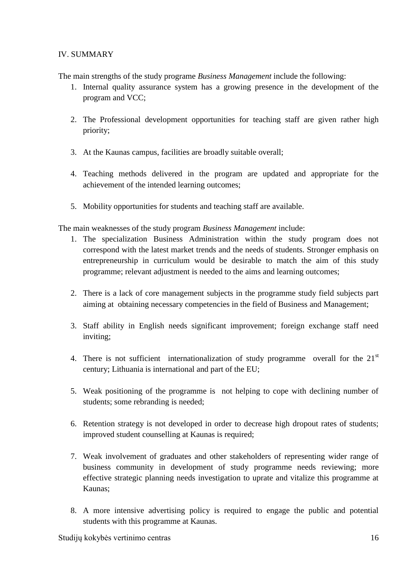## IV. SUMMARY

The main strengths of the study programe *Business Management* include the following:

- 1. Internal quality assurance system has a growing presence in the development of the program and VCC;
- 2. The Professional development opportunities for teaching staff are given rather high priority;
- 3. At the Kaunas campus, facilities are broadly suitable overall;
- 4. Teaching methods delivered in the program are updated and appropriate for the achievement of the intended learning outcomes;
- 5. Mobility opportunities for students and teaching staff are available.

The main weaknesses of the study program *Business Management* include:

- 1. The specialization Business Administration within the study program does not correspond with the latest market trends and the needs of students. Stronger emphasis on entrepreneurship in curriculum would be desirable to match the aim of this study programme; relevant adjustment is needed to the aims and learning outcomes;
- 2. There is a lack of core management subjects in the programme study field subjects part aiming at obtaining necessary competencies in the field of Business and Management;
- 3. Staff ability in English needs significant improvement; foreign exchange staff need inviting;
- 4. There is not sufficient internationalization of study programme overall for the  $21<sup>st</sup>$ century; Lithuania is international and part of the EU;
- 5. Weak positioning of the programme is not helping to cope with declining number of students; some rebranding is needed;
- 6. Retention strategy is not developed in order to decrease high dropout rates of students; improved student counselling at Kaunas is required;
- 7. Weak involvement of graduates and other stakeholders of representing wider range of business community in development of study programme needs reviewing; more effective strategic planning needs investigation to uprate and vitalize this programme at Kaunas;
- 8. A more intensive advertising policy is required to engage the public and potential students with this programme at Kaunas.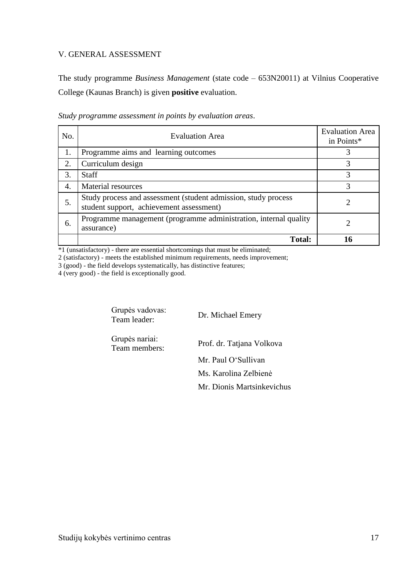#### V. GENERAL ASSESSMENT

The study programme *Business Management* (state code – 653N20011) at Vilnius Cooperative College (Kaunas Branch) is given **positive** evaluation.

| No. | <b>Evaluation Area</b>                                                                                     | <b>Evaluation Area</b><br>in Points* |
|-----|------------------------------------------------------------------------------------------------------------|--------------------------------------|
| 1.  | Programme aims and learning outcomes                                                                       |                                      |
| 2.  | Curriculum design                                                                                          | 3                                    |
| 3.  | <b>Staff</b>                                                                                               |                                      |
| 4.  | Material resources                                                                                         |                                      |
| 5.  | Study process and assessment (student admission, study process<br>student support, achievement assessment) |                                      |
| 6.  | Programme management (programme administration, internal quality<br>assurance)                             |                                      |
|     | <b>Total:</b>                                                                                              | 16                                   |

*Study programme assessment in points by evaluation areas*.

\*1 (unsatisfactory) - there are essential shortcomings that must be eliminated;

2 (satisfactory) - meets the established minimum requirements, needs improvement;

3 (good) - the field develops systematically, has distinctive features;

4 (very good) - the field is exceptionally good.

Grupės vadovas:<br>Team leader:

Dr. Michael Emery

Grupės nariai:

Team members: Prof. dr. Tatjana Volkova

Mr. Paul O"Sullivan

Ms. Karolina Zelbienė

Mr. Dionis Martsinkevichus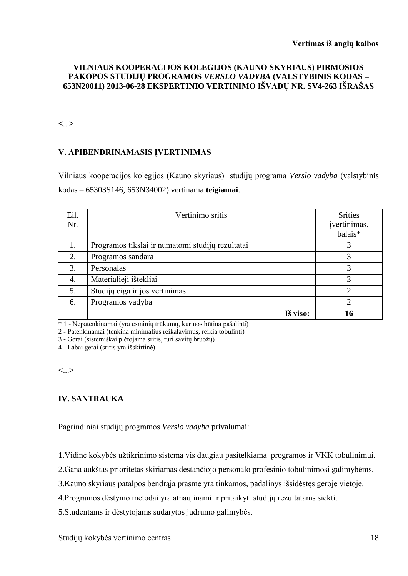#### **VILNIAUS KOOPERACIJOS KOLEGIJOS (KAUNO SKYRIAUS) PIRMOSIOS PAKOPOS STUDIJŲ PROGRAMOS** *VERSLO VADYBA* **(VALSTYBINIS KODAS – 653N20011) 2013-06-28 EKSPERTINIO VERTINIMO IŠVADŲ NR. SV4-263 IŠRAŠAS**

**<**...**>**

#### **V. APIBENDRINAMASIS ĮVERTINIMAS**

Vilniaus kooperacijos kolegijos (Kauno skyriaus) studijų programa *Verslo vadyba* (valstybinis kodas – 65303S146, 653N34002) vertinama **teigiamai**.

| Eil.<br>Nr. | Vertinimo sritis                                 | <b>Srities</b><br>įvertinimas,<br>balais* |
|-------------|--------------------------------------------------|-------------------------------------------|
| 1.          | Programos tikslai ir numatomi studijų rezultatai |                                           |
| 2.          | Programos sandara                                | 3                                         |
| 3.          | Personalas                                       | 3                                         |
| 4.          | Materialieji ištekliai                           | 3                                         |
| 5.          | Studijų eiga ir jos vertinimas                   | ↑                                         |
| 6.          | Programos vadyba                                 | っ                                         |
|             | Iš viso:                                         |                                           |

\* 1 - Nepatenkinamai (yra esminių trūkumų, kuriuos būtina pašalinti)

2 - Patenkinamai (tenkina minimalius reikalavimus, reikia tobulinti)

3 - Gerai (sistemiškai plėtojama sritis, turi savitų bruožų)

4 - Labai gerai (sritis yra išskirtinė)

**<**...**>**

# **IV. SANTRAUKA**

Pagrindiniai studijų programos *Verslo vadyba* privalumai:

1. Vidinė kokybės užtikrinimo sistema vis daugiau pasitelkiama programos ir VKK tobulinimui.

2.Gana aukštas prioritetas skiriamas dėstančiojo personalo profesinio tobulinimosi galimybėms.

3.Kauno skyriaus patalpos bendrąja prasme yra tinkamos, padalinys išsidėstęs geroje vietoje.

4.Programos dėstymo metodai yra atnaujinami ir pritaikyti studijų rezultatams siekti.

5.Studentams ir dėstytojams sudarytos judrumo galimybės.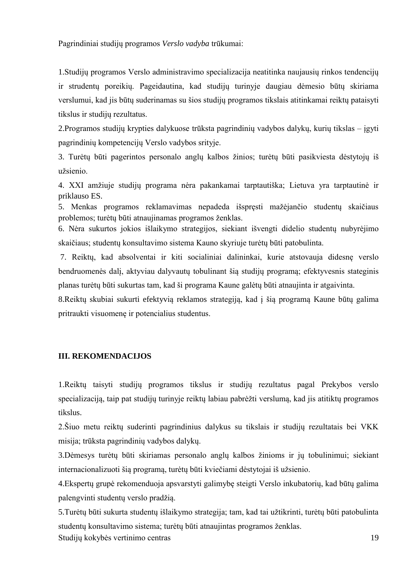Pagrindiniai studijų programos *Verslo vadyba* trūkumai:

1.Studijų programos Verslo administravimo specializacija neatitinka naujausių rinkos tendencijų ir strudentų poreikių. Pageidautina, kad studijų turinyje daugiau dėmesio būtų skiriama verslumui, kad jis būtų suderinamas su šios studijų programos tikslais atitinkamai reiktų pataisyti tikslus ir studijų rezultatus.

2.Programos studijų krypties dalykuose trūksta pagrindinių vadybos dalykų, kurių tikslas – įgyti pagrindinių kompetencijų Verslo vadybos srityje.

3. Turėtų būti pagerintos personalo anglų kalbos žinios; turėtų būti pasikviesta dėstytojų iš užsienio

4. XXI amžiuje studijų programa nėra pakankamai tarptautiška; Lietuva yra tarptautinė ir priklauso ES.

5. Menkas programos reklamavimas nepadeda išspręsti mažėjančio studentų skaičiaus problemos; turėtų būti atnaujinamas programos ženklas.

6. Nėra sukurtos jokios išlaikymo strategijos, siekiant išvengti didelio studentų nubyrėjimo skaičiaus; studentų konsultavimo sistema Kauno skyriuje turėtų būti patobulinta.

7. Reiktų, kad absolventai ir kiti socialiniai dalininkai, kurie atstovauja didesnę verslo bendruomenės dalį, aktyviau dalyvautų tobulinant šią studijų programą; efektyvesnis stateginis planas turėtų būti sukurtas tam, kad ši programa Kaune galėtų būti atnaujinta ir atgaivinta.

8.Reiktų skubiai sukurti efektyvią reklamos strategiją, kad į šią programą Kaune būtų galima pritraukti visuomenę ir potencialius studentus.

## **III. REKOMENDACIJOS**

1.Reiktų taisyti studijų programos tikslus ir studijų rezultatus pagal Prekybos verslo specializaciją, taip pat studijų turinyje reiktų labiau pabrėžti verslumą, kad jis atitiktų programos tikslus.

2.Šiuo metu reiktų suderinti pagrindinius dalykus su tikslais ir studijų rezultatais bei VKK misija; trūksta pagrindinių vadybos dalykų.

3.Dėmesys turėtų būti skiriamas personalo anglų kalbos žinioms ir jų tobulinimui; siekiant internacionalizuoti šią programą, turėtų būti kviečiami dėstytojai iš užsienio.

4.Ekspertų grupė rekomenduoja apsvarstyti galimybę steigti Verslo inkubatorių, kad būtų galima palengvinti studentų verslo pradžią.

Studijų kokybės vertinimo centras 19 5. Turėtų būti sukurta studentų išlaikymo strategija; tam, kad tai užtikrinti, turėtų būti patobulinta studentų konsultavimo sistema; turėtų būti atnaujintas programos ženklas.